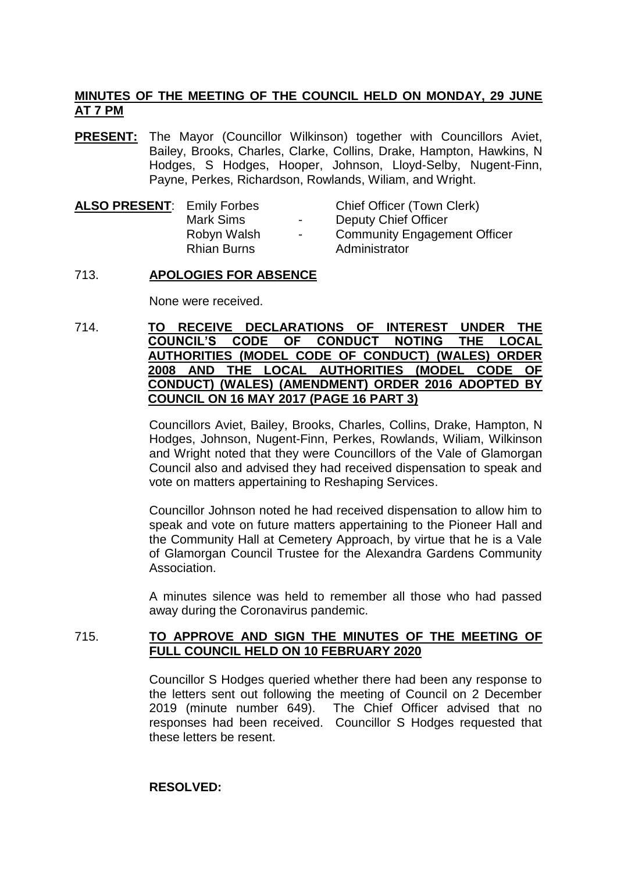# **MINUTES OF THE MEETING OF THE COUNCIL HELD ON MONDAY, 29 JUNE AT 7 PM**

**PRESENT:** The Mayor (Councillor Wilkinson) together with Councillors Aviet, Bailey, Brooks, Charles, Clarke, Collins, Drake, Hampton, Hawkins, N Hodges, S Hodges, Hooper, Johnson, Lloyd-Selby, Nugent-Finn, Payne, Perkes, Richardson, Rowlands, Wiliam, and Wright.

| <b>ALSO PRESENT: Emily Forbes</b> |                    |
|-----------------------------------|--------------------|
|                                   | <b>Mark Sims</b>   |
|                                   | Robyn Walsh        |
|                                   | <b>Rhian Burns</b> |
|                                   |                    |

**Chief Officer (Town Clerk)** Deputy Chief Officer - Community Engagement Officer Administrator

## 713. **APOLOGIES FOR ABSENCE**

None were received.

714. **TO RECEIVE DECLARATIONS OF INTEREST UNDER THE COUNCIL'S CODE OF CONDUCT NOTING THE LOCAL AUTHORITIES (MODEL CODE OF CONDUCT) (WALES) ORDER 2008 AND THE LOCAL AUTHORITIES (MODEL CODE OF CONDUCT) (WALES) (AMENDMENT) ORDER 2016 ADOPTED BY COUNCIL ON 16 MAY 2017 (PAGE 16 PART 3)**

> Councillors Aviet, Bailey, Brooks, Charles, Collins, Drake, Hampton, N Hodges, Johnson, Nugent-Finn, Perkes, Rowlands, Wiliam, Wilkinson and Wright noted that they were Councillors of the Vale of Glamorgan Council also and advised they had received dispensation to speak and vote on matters appertaining to Reshaping Services.

> Councillor Johnson noted he had received dispensation to allow him to speak and vote on future matters appertaining to the Pioneer Hall and the Community Hall at Cemetery Approach, by virtue that he is a Vale of Glamorgan Council Trustee for the Alexandra Gardens Community Association.

> A minutes silence was held to remember all those who had passed away during the Coronavirus pandemic.

## 715. **TO APPROVE AND SIGN THE MINUTES OF THE MEETING OF FULL COUNCIL HELD ON 10 FEBRUARY 2020**

Councillor S Hodges queried whether there had been any response to the letters sent out following the meeting of Council on 2 December 2019 (minute number 649). The Chief Officer advised that no responses had been received. Councillor S Hodges requested that these letters be resent.

### **RESOLVED:**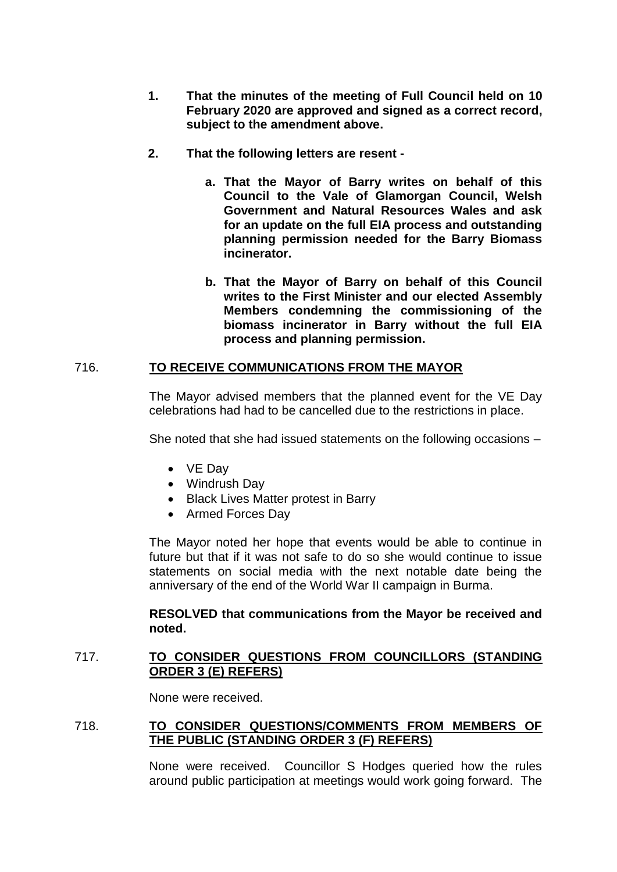- **1. That the minutes of the meeting of Full Council held on 10 February 2020 are approved and signed as a correct record, subject to the amendment above.**
- **2. That the following letters are resent** 
	- **a. That the Mayor of Barry writes on behalf of this Council to the Vale of Glamorgan Council, Welsh Government and Natural Resources Wales and ask for an update on the full EIA process and outstanding planning permission needed for the Barry Biomass incinerator.**
	- **b. That the Mayor of Barry on behalf of this Council writes to the First Minister and our elected Assembly Members condemning the commissioning of the biomass incinerator in Barry without the full EIA process and planning permission.**

# 716. **TO RECEIVE COMMUNICATIONS FROM THE MAYOR**

The Mayor advised members that the planned event for the VE Day celebrations had had to be cancelled due to the restrictions in place.

She noted that she had issued statements on the following occasions –

- VE Day
- Windrush Day
- Black Lives Matter protest in Barry
- Armed Forces Day

The Mayor noted her hope that events would be able to continue in future but that if it was not safe to do so she would continue to issue statements on social media with the next notable date being the anniversary of the end of the World War II campaign in Burma.

## **RESOLVED that communications from the Mayor be received and noted.**

## 717. **TO CONSIDER QUESTIONS FROM COUNCILLORS (STANDING ORDER 3 (E) REFERS)**

None were received.

# 718. **TO CONSIDER QUESTIONS/COMMENTS FROM MEMBERS OF THE PUBLIC (STANDING ORDER 3 (F) REFERS)**

None were received. Councillor S Hodges queried how the rules around public participation at meetings would work going forward. The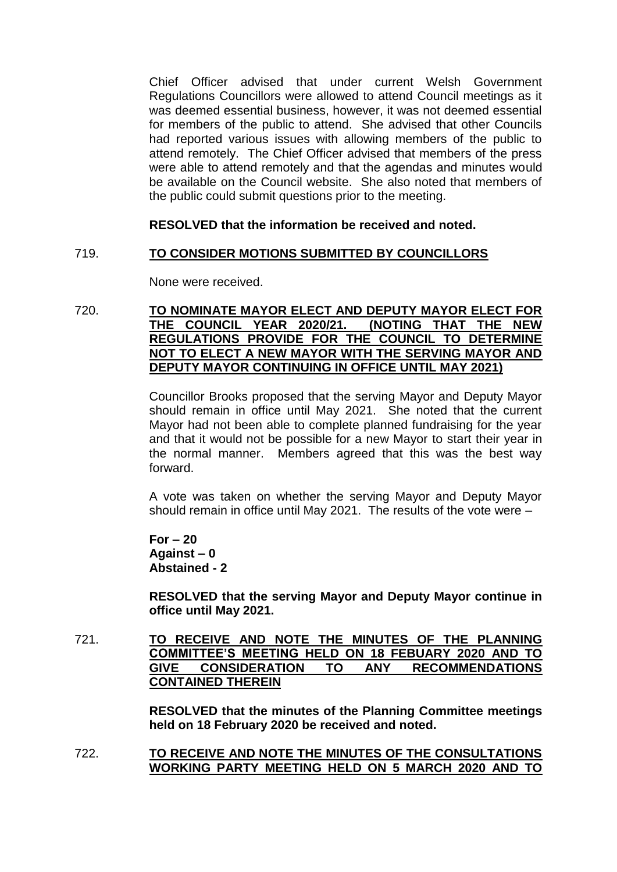Chief Officer advised that under current Welsh Government Regulations Councillors were allowed to attend Council meetings as it was deemed essential business, however, it was not deemed essential for members of the public to attend. She advised that other Councils had reported various issues with allowing members of the public to attend remotely. The Chief Officer advised that members of the press were able to attend remotely and that the agendas and minutes would be available on the Council website. She also noted that members of the public could submit questions prior to the meeting.

# **RESOLVED that the information be received and noted.**

## 719. **TO CONSIDER MOTIONS SUBMITTED BY COUNCILLORS**

None were received.

## 720. **TO NOMINATE MAYOR ELECT AND DEPUTY MAYOR ELECT FOR THE COUNCIL YEAR 2020/21. (NOTING THAT THE NEW REGULATIONS PROVIDE FOR THE COUNCIL TO DETERMINE NOT TO ELECT A NEW MAYOR WITH THE SERVING MAYOR AND DEPUTY MAYOR CONTINUING IN OFFICE UNTIL MAY 2021)**

Councillor Brooks proposed that the serving Mayor and Deputy Mayor should remain in office until May 2021. She noted that the current Mayor had not been able to complete planned fundraising for the year and that it would not be possible for a new Mayor to start their year in the normal manner. Members agreed that this was the best way forward.

A vote was taken on whether the serving Mayor and Deputy Mayor should remain in office until May 2021. The results of the vote were –

**For – 20 Against – 0 Abstained - 2**

**RESOLVED that the serving Mayor and Deputy Mayor continue in office until May 2021.**

721. **TO RECEIVE AND NOTE THE MINUTES OF THE PLANNING COMMITTEE'S MEETING HELD ON 18 FEBUARY 2020 AND TO GIVE CONSIDERATION TO ANY RECOMMENDATIONS CONTAINED THEREIN**

> **RESOLVED that the minutes of the Planning Committee meetings held on 18 February 2020 be received and noted.**

722. **TO RECEIVE AND NOTE THE MINUTES OF THE CONSULTATIONS WORKING PARTY MEETING HELD ON 5 MARCH 2020 AND TO**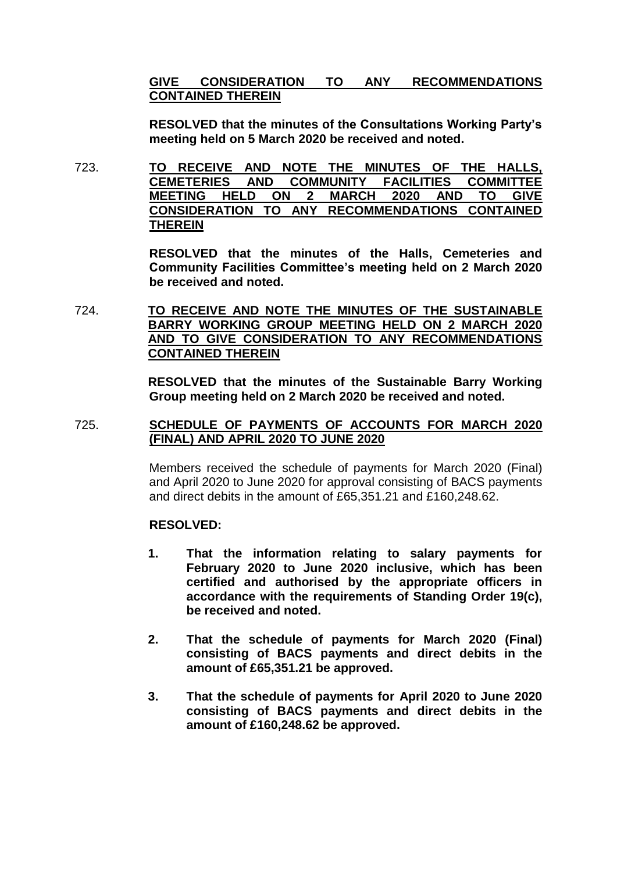# **GIVE CONSIDERATION TO ANY RECOMMENDATIONS CONTAINED THEREIN**

**RESOLVED that the minutes of the Consultations Working Party's meeting held on 5 March 2020 be received and noted.**

723. **TO RECEIVE AND NOTE THE MINUTES OF THE HALLS, CEMETERIES AND COMMUNITY FACILITIES COMMITTEE MEETING HELD ON 2 MARCH 2020 AND TO GIVE CONSIDERATION TO ANY RECOMMENDATIONS CONTAINED THEREIN**

> **RESOLVED that the minutes of the Halls, Cemeteries and Community Facilities Committee's meeting held on 2 March 2020 be received and noted.**

724. **TO RECEIVE AND NOTE THE MINUTES OF THE SUSTAINABLE BARRY WORKING GROUP MEETING HELD ON 2 MARCH 2020 AND TO GIVE CONSIDERATION TO ANY RECOMMENDATIONS CONTAINED THEREIN**

> **RESOLVED that the minutes of the Sustainable Barry Working Group meeting held on 2 March 2020 be received and noted.**

## 725. **SCHEDULE OF PAYMENTS OF ACCOUNTS FOR MARCH 2020 (FINAL) AND APRIL 2020 TO JUNE 2020**

Members received the schedule of payments for March 2020 (Final) and April 2020 to June 2020 for approval consisting of BACS payments and direct debits in the amount of £65,351.21 and £160,248.62.

# **RESOLVED:**

- **1. That the information relating to salary payments for February 2020 to June 2020 inclusive, which has been certified and authorised by the appropriate officers in accordance with the requirements of Standing Order 19(c), be received and noted.**
- **2. That the schedule of payments for March 2020 (Final) consisting of BACS payments and direct debits in the amount of £65,351.21 be approved.**
- **3. That the schedule of payments for April 2020 to June 2020 consisting of BACS payments and direct debits in the amount of £160,248.62 be approved.**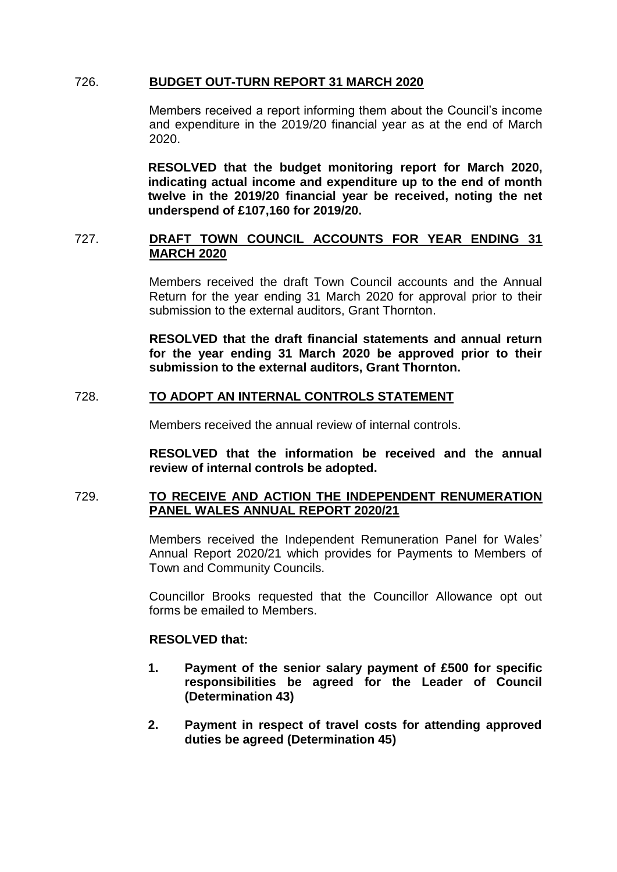## 726. **BUDGET OUT-TURN REPORT 31 MARCH 2020**

Members received a report informing them about the Council's income and expenditure in the 2019/20 financial year as at the end of March 2020.

**RESOLVED that the budget monitoring report for March 2020, indicating actual income and expenditure up to the end of month twelve in the 2019/20 financial year be received, noting the net underspend of £107,160 for 2019/20.**

## 727. **DRAFT TOWN COUNCIL ACCOUNTS FOR YEAR ENDING 31 MARCH 2020**

Members received the draft Town Council accounts and the Annual Return for the year ending 31 March 2020 for approval prior to their submission to the external auditors, Grant Thornton.

**RESOLVED that the draft financial statements and annual return for the year ending 31 March 2020 be approved prior to their submission to the external auditors, Grant Thornton.**

# 728. **TO ADOPT AN INTERNAL CONTROLS STATEMENT**

Members received the annual review of internal controls.

**RESOLVED that the information be received and the annual review of internal controls be adopted.**

#### 729. **TO RECEIVE AND ACTION THE INDEPENDENT RENUMERATION PANEL WALES ANNUAL REPORT 2020/21**

Members received the Independent Remuneration Panel for Wales' Annual Report 2020/21 which provides for Payments to Members of Town and Community Councils.

Councillor Brooks requested that the Councillor Allowance opt out forms be emailed to Members.

#### **RESOLVED that:**

- **1. Payment of the senior salary payment of £500 for specific responsibilities be agreed for the Leader of Council (Determination 43)**
- **2. Payment in respect of travel costs for attending approved duties be agreed (Determination 45)**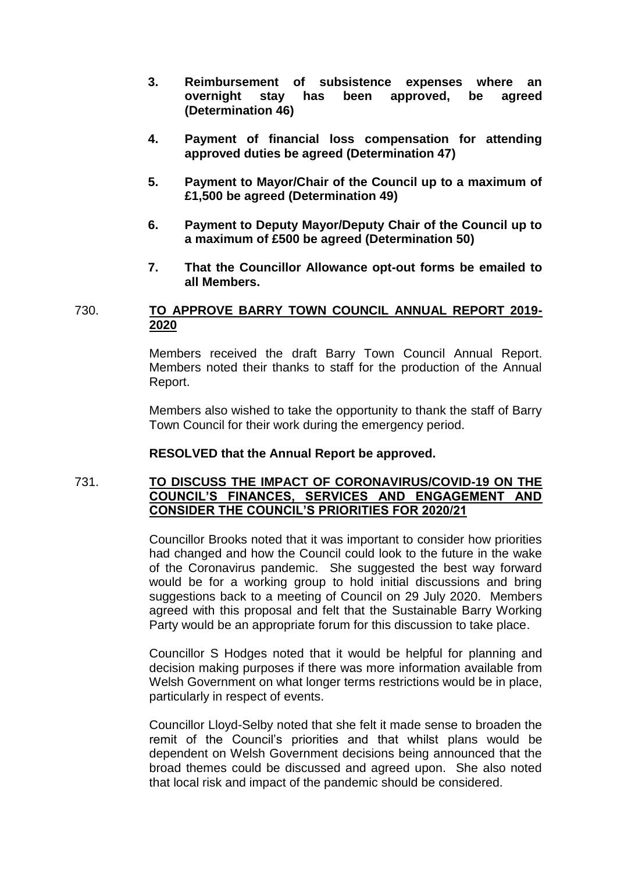- **3. Reimbursement of subsistence expenses where an overnight stay has been approved, be agreed (Determination 46)**
- **4. Payment of financial loss compensation for attending approved duties be agreed (Determination 47)**
- **5. Payment to Mayor/Chair of the Council up to a maximum of £1,500 be agreed (Determination 49)**
- **6. Payment to Deputy Mayor/Deputy Chair of the Council up to a maximum of £500 be agreed (Determination 50)**
- **7. That the Councillor Allowance opt-out forms be emailed to all Members.**

## 730. **TO APPROVE BARRY TOWN COUNCIL ANNUAL REPORT 2019- 2020**

Members received the draft Barry Town Council Annual Report. Members noted their thanks to staff for the production of the Annual Report.

Members also wished to take the opportunity to thank the staff of Barry Town Council for their work during the emergency period.

# **RESOLVED that the Annual Report be approved.**

# 731. **TO DISCUSS THE IMPACT OF CORONAVIRUS/COVID-19 ON THE COUNCIL'S FINANCES, SERVICES AND ENGAGEMENT AND CONSIDER THE COUNCIL'S PRIORITIES FOR 2020/21**

Councillor Brooks noted that it was important to consider how priorities had changed and how the Council could look to the future in the wake of the Coronavirus pandemic. She suggested the best way forward would be for a working group to hold initial discussions and bring suggestions back to a meeting of Council on 29 July 2020. Members agreed with this proposal and felt that the Sustainable Barry Working Party would be an appropriate forum for this discussion to take place.

Councillor S Hodges noted that it would be helpful for planning and decision making purposes if there was more information available from Welsh Government on what longer terms restrictions would be in place, particularly in respect of events.

Councillor Lloyd-Selby noted that she felt it made sense to broaden the remit of the Council's priorities and that whilst plans would be dependent on Welsh Government decisions being announced that the broad themes could be discussed and agreed upon. She also noted that local risk and impact of the pandemic should be considered.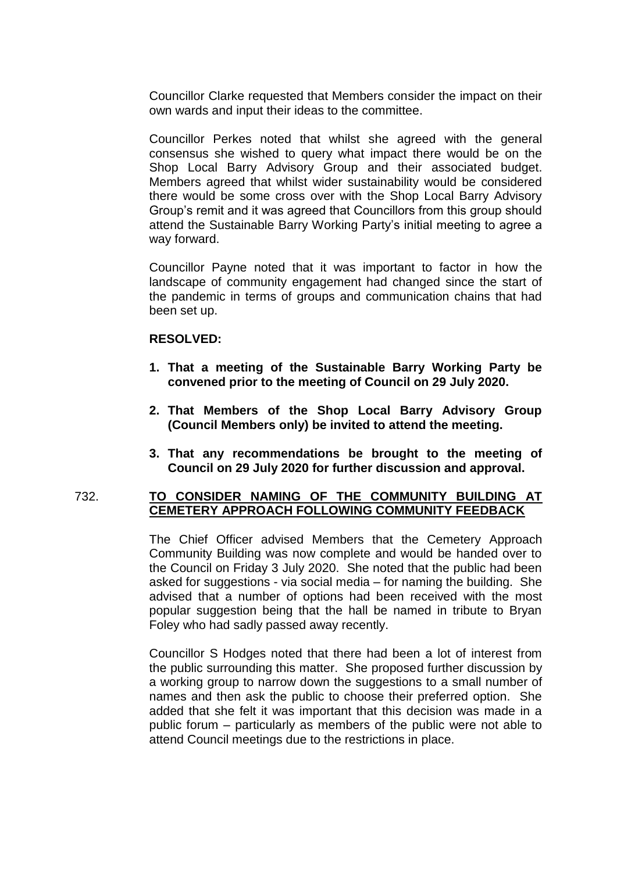Councillor Clarke requested that Members consider the impact on their own wards and input their ideas to the committee.

Councillor Perkes noted that whilst she agreed with the general consensus she wished to query what impact there would be on the Shop Local Barry Advisory Group and their associated budget. Members agreed that whilst wider sustainability would be considered there would be some cross over with the Shop Local Barry Advisory Group's remit and it was agreed that Councillors from this group should attend the Sustainable Barry Working Party's initial meeting to agree a way forward.

Councillor Payne noted that it was important to factor in how the landscape of community engagement had changed since the start of the pandemic in terms of groups and communication chains that had been set up.

## **RESOLVED:**

- **1. That a meeting of the Sustainable Barry Working Party be convened prior to the meeting of Council on 29 July 2020.**
- **2. That Members of the Shop Local Barry Advisory Group (Council Members only) be invited to attend the meeting.**
- **3. That any recommendations be brought to the meeting of Council on 29 July 2020 for further discussion and approval.**

#### 732. **TO CONSIDER NAMING OF THE COMMUNITY BUILDING AT CEMETERY APPROACH FOLLOWING COMMUNITY FEEDBACK**

The Chief Officer advised Members that the Cemetery Approach Community Building was now complete and would be handed over to the Council on Friday 3 July 2020. She noted that the public had been asked for suggestions - via social media – for naming the building. She advised that a number of options had been received with the most popular suggestion being that the hall be named in tribute to Bryan Foley who had sadly passed away recently.

Councillor S Hodges noted that there had been a lot of interest from the public surrounding this matter. She proposed further discussion by a working group to narrow down the suggestions to a small number of names and then ask the public to choose their preferred option. She added that she felt it was important that this decision was made in a public forum – particularly as members of the public were not able to attend Council meetings due to the restrictions in place.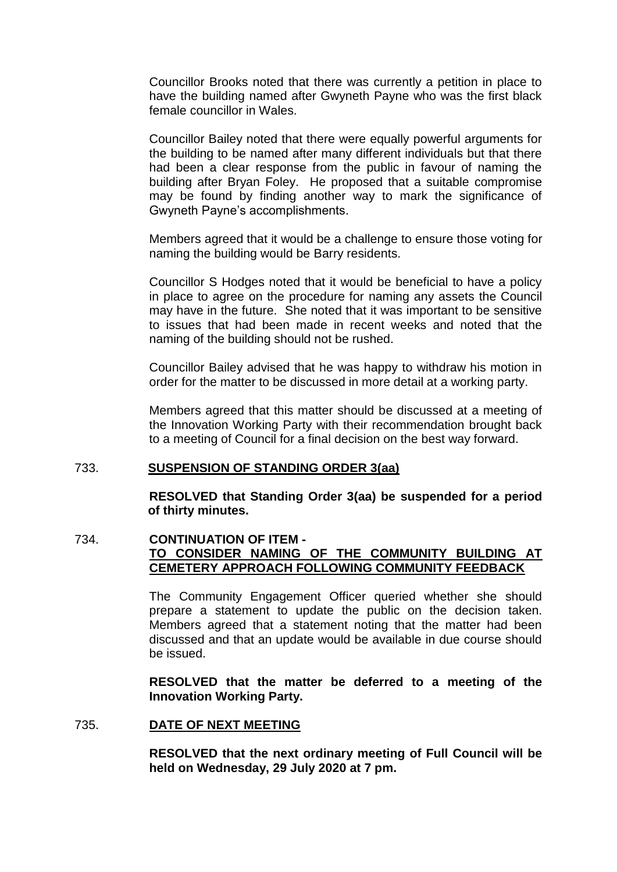Councillor Brooks noted that there was currently a petition in place to have the building named after Gwyneth Payne who was the first black female councillor in Wales.

Councillor Bailey noted that there were equally powerful arguments for the building to be named after many different individuals but that there had been a clear response from the public in favour of naming the building after Bryan Foley. He proposed that a suitable compromise may be found by finding another way to mark the significance of Gwyneth Payne's accomplishments.

Members agreed that it would be a challenge to ensure those voting for naming the building would be Barry residents.

Councillor S Hodges noted that it would be beneficial to have a policy in place to agree on the procedure for naming any assets the Council may have in the future. She noted that it was important to be sensitive to issues that had been made in recent weeks and noted that the naming of the building should not be rushed.

Councillor Bailey advised that he was happy to withdraw his motion in order for the matter to be discussed in more detail at a working party.

Members agreed that this matter should be discussed at a meeting of the Innovation Working Party with their recommendation brought back to a meeting of Council for a final decision on the best way forward.

#### 733. **SUSPENSION OF STANDING ORDER 3(aa)**

**RESOLVED that Standing Order 3(aa) be suspended for a period of thirty minutes.**

# 734. **CONTINUATION OF ITEM - TO CONSIDER NAMING OF THE COMMUNITY BUILDING AT CEMETERY APPROACH FOLLOWING COMMUNITY FEEDBACK**

The Community Engagement Officer queried whether she should prepare a statement to update the public on the decision taken. Members agreed that a statement noting that the matter had been discussed and that an update would be available in due course should be issued.

**RESOLVED that the matter be deferred to a meeting of the Innovation Working Party.**

#### 735. **DATE OF NEXT MEETING**

**RESOLVED that the next ordinary meeting of Full Council will be held on Wednesday, 29 July 2020 at 7 pm.**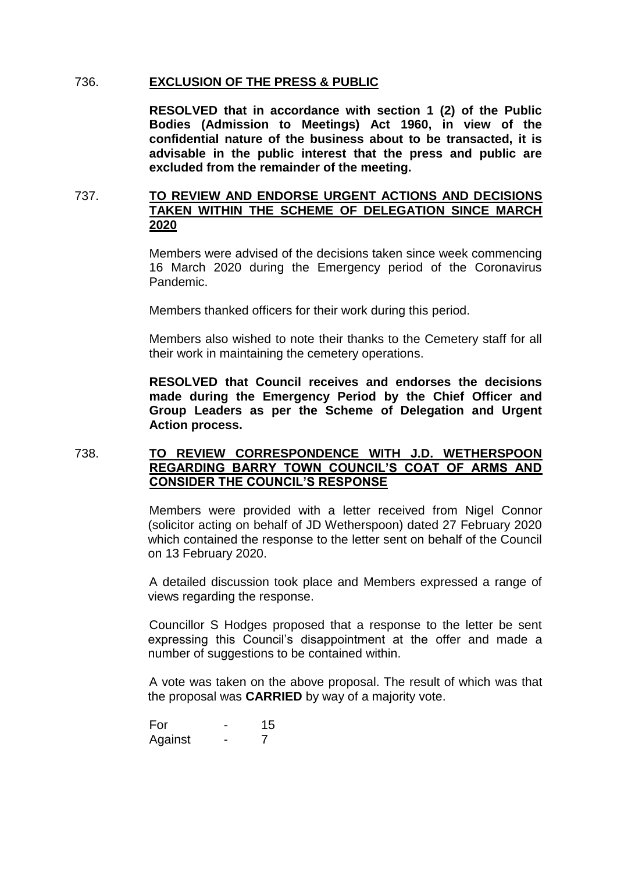### 736. **EXCLUSION OF THE PRESS & PUBLIC**

**RESOLVED that in accordance with section 1 (2) of the Public Bodies (Admission to Meetings) Act 1960, in view of the confidential nature of the business about to be transacted, it is advisable in the public interest that the press and public are excluded from the remainder of the meeting.**

# 737. **TO REVIEW AND ENDORSE URGENT ACTIONS AND DECISIONS TAKEN WITHIN THE SCHEME OF DELEGATION SINCE MARCH 2020**

Members were advised of the decisions taken since week commencing 16 March 2020 during the Emergency period of the Coronavirus Pandemic.

Members thanked officers for their work during this period.

Members also wished to note their thanks to the Cemetery staff for all their work in maintaining the cemetery operations.

**RESOLVED that Council receives and endorses the decisions made during the Emergency Period by the Chief Officer and Group Leaders as per the Scheme of Delegation and Urgent Action process.**

## 738. **TO REVIEW CORRESPONDENCE WITH J.D. WETHERSPOON REGARDING BARRY TOWN COUNCIL'S COAT OF ARMS AND CONSIDER THE COUNCIL'S RESPONSE**

Members were provided with a letter received from Nigel Connor (solicitor acting on behalf of JD Wetherspoon) dated 27 February 2020 which contained the response to the letter sent on behalf of the Council on 13 February 2020.

A detailed discussion took place and Members expressed a range of views regarding the response.

Councillor S Hodges proposed that a response to the letter be sent expressing this Council's disappointment at the offer and made a number of suggestions to be contained within.

A vote was taken on the above proposal. The result of which was that the proposal was **CARRIED** by way of a majority vote.

For - 15 Against - 7